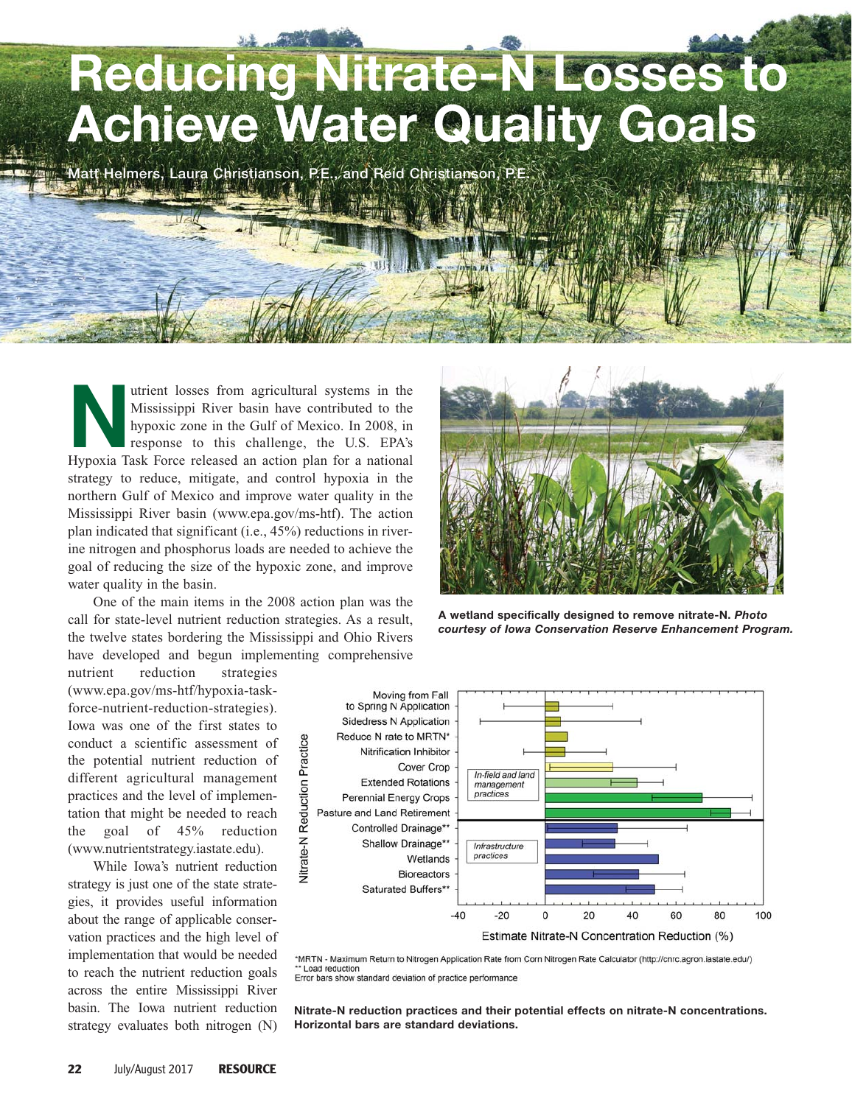## **Reducing Nitrate-N Losses to Achieve Water Quality Goals**

**Matt Helmers, Laura Christianson, P.E., and Reid Christianson, P.E.**

Mississippi River basin have contributed to the hypoxic zone in the Gulf of Mexico. In 2008, in response to this challenge, the U.S. EPA's Hypoxia Task Force released an action plan for a national Mississippi River basin have contributed to the hypoxic zone in the Gulf of Mexico. In 2008, in response to this challenge, the U.S. EPA's strategy to reduce, mitigate, and control hypoxia in the northern Gulf of Mexico and improve water quality in the Mississippi River basin (www.epa.gov/ms-htf). The action plan indicated that significant (i.e., 45%) reductions in riverine nitrogen and phosphorus loads are needed to achieve the goal of reducing the size of the hypoxic zone, and improve water quality in the basin.

One of the main items in the 2008 action plan was the call for state-level nutrient reduction strategies. As a result, the twelve states bordering the Mississippi and Ohio Rivers have developed and begun implementing comprehensive

**A wetland specifically designed to remove nitrate-N.** *Photo courtesy of Iowa Conservation Reserve Enhancement Program.*

nutrient reduction strategies (www.epa.gov/ms-htf/hypoxia-taskforce-nutrient-reduction-strategies). Iowa was one of the first states to conduct a scientific assessment of the potential nutrient reduction of different agricultural management practices and the level of implementation that might be needed to reach the goal of 45% reduction (www.nutrientstrategy.iastate.edu).

While Iowa's nutrient reduction strategy is just one of the state strategies, it provides useful information about the range of applicable conservation practices and the high level of implementation that would be needed to reach the nutrient reduction goals across the entire Mississippi River basin. The Iowa nutrient reduction strategy evaluates both nitrogen (N)



\*MRTN - Maximum Return to Nitrogen Application Rate from Corn Nitrogen Rate Calculator (http://cnrc.agron.iastate.edu/) Load reduction Error bars show standard deviation of practice performance

**Nitrate-N reduction practices and their potential effects on nitrate-N concentrations. Horizontal bars are standard deviations.**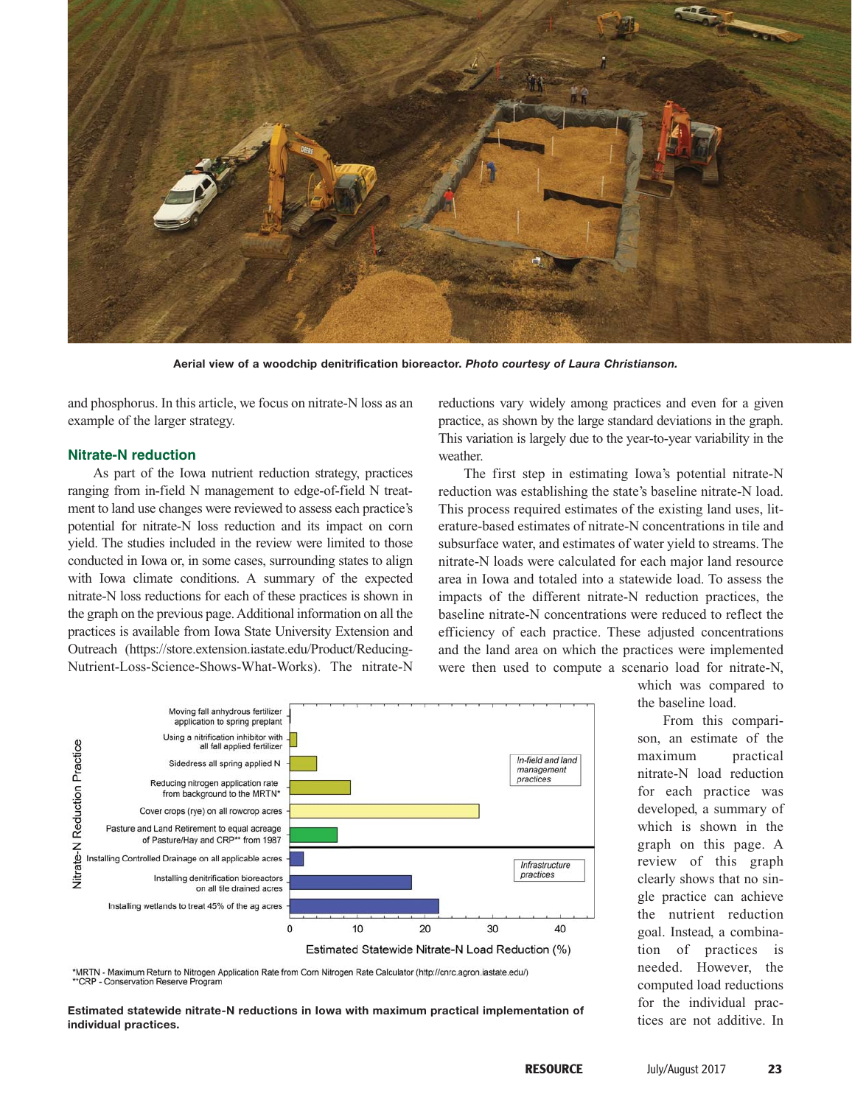

**Aerial view of a woodchip denitrification bioreactor.** *Photo courtesy of Laura Christianson.*

and phosphorus. In this article, we focus on nitrate-N loss as an example of the larger strategy.

## **Nitrate-N reduction**

As part of the Iowa nutrient reduction strategy, practices ranging from in-field N management to edge-of-field N treatment to land use changes were reviewed to assess each practice's potential for nitrate-N loss reduction and its impact on corn yield. The studies included in the review were limited to those conducted in Iowa or, in some cases, surrounding states to align with Iowa climate conditions. A summary of the expected nitrate-N loss reductions for each of these practices is shown in the graph on the previous page. Additional information on all the practices is available from Iowa State University Extension and Outreach (https://store.extension.iastate.edu/Product/Reducing-Nutrient-Loss-Science-Shows-What-Works). The nitrate-N reductions vary widely among practices and even for a given practice, as shown by the large standard deviations in the graph. This variation is largely due to the year-to-year variability in the weather.

The first step in estimating Iowa's potential nitrate-N reduction was establishing the state's baseline nitrate-N load. This process required estimates of the existing land uses, literature-based estimates of nitrate-N concentrations in tile and subsurface water, and estimates of water yield to streams. The nitrate-N loads were calculated for each major land resource area in Iowa and totaled into a statewide load. To assess the impacts of the different nitrate-N reduction practices, the baseline nitrate-N concentrations were reduced to reflect the efficiency of each practice. These adjusted concentrations and the land area on which the practices were implemented were then used to compute a scenario load for nitrate-N,



the baseline load. From this comparison, an estimate of the maximum practical nitrate-N load reduction for each practice was developed, a summary of which is shown in the graph on this page. A review of this graph clearly shows that no single practice can achieve the nutrient reduction goal. Instead, a combination of practices is needed. However, the computed load reductions for the individual prac-

which was compared to

\*MRTN - Maximum Return to Nitrogen Application Rate from Corn Nitrogen Rate Calculator (http://cnrc.agron.iastate.edu/) \*\* CRP - Conservation Reserve Program

Estimated statewide nitrate-N reductions in Iowa with maximum practical implementation of **Examplementation** of *individual practices* are not additive. In **individual practices.**